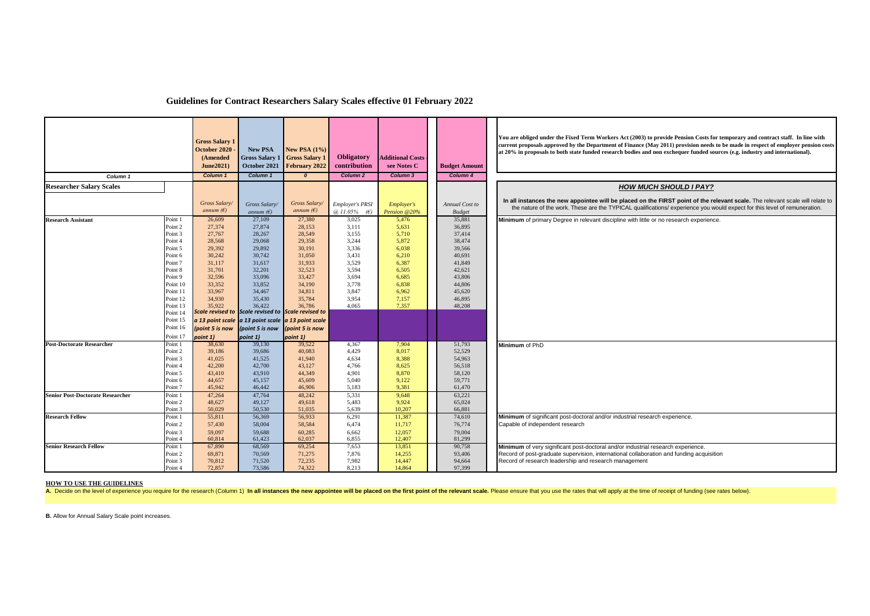|                                         |                      | <b>Gross Salary 1</b><br>October 2020<br>(Amended<br>June2021) | <b>New PSA</b><br><b>Gross Salary 1</b><br>October 2021 | New PSA $(1\%)$<br><b>Gross Salary 1</b><br>February 2022    | Obligatory<br>contribution                  | <b>Additional Costs</b><br>see Notes C | <b>Budget Amount</b>            | You are obliged under the Fixed Term Workers Act (2003) to provide Pension Costs for temporary and contract staff. In line with<br>current proposals approved by the Department of Finance (May 2011) provision needs to be made in respect of employer pension costs<br>at 20% in proposals to both state funded research bodies and non exchequer funded sources (e.g. industry and international). |
|-----------------------------------------|----------------------|----------------------------------------------------------------|---------------------------------------------------------|--------------------------------------------------------------|---------------------------------------------|----------------------------------------|---------------------------------|-------------------------------------------------------------------------------------------------------------------------------------------------------------------------------------------------------------------------------------------------------------------------------------------------------------------------------------------------------------------------------------------------------|
| Column <sub>1</sub>                     |                      | Column 1                                                       | Column 1                                                | $\mathfrak{o}$                                               | Column 2                                    | Column 3                               | Column 4                        |                                                                                                                                                                                                                                                                                                                                                                                                       |
| <b>Researcher Salary Scales</b>         |                      |                                                                |                                                         |                                                              |                                             |                                        |                                 | <b>HOW MUCH SHOULD I PAY?</b>                                                                                                                                                                                                                                                                                                                                                                         |
|                                         |                      | Gross Salary/<br>annum $(E)$                                   | <b>Gross Salary</b><br>annum $(E)$                      | Gross Salary<br>annum $(E)$                                  | <b>Employer's PRSI</b><br>$(a) 11.05\%$ (E) | <b>Employer's</b><br>Pension @20%      | Annual Cost to<br><b>Budget</b> | In all instances the new appointee will be placed on the FIRST point of the relevant scale. The relevant scale will relate to<br>the nature of the work. These are the TYPICAL qualifications/experience you would expect for this level of remuneration.                                                                                                                                             |
| <b>Research Assistant</b>               | Point 1              | 26,609                                                         | 27,109                                                  | 27,380                                                       | 3,025                                       | 5,476                                  | 35,881                          | Minimum of primary Degree in relevant discipline with little or no research experience.                                                                                                                                                                                                                                                                                                               |
|                                         | Point 2              | 27,374                                                         | 27,874                                                  | 28,153                                                       | 3,111                                       | 5,631                                  | 36,895                          |                                                                                                                                                                                                                                                                                                                                                                                                       |
|                                         | Point 3<br>Point 4   | 27,767<br>28,568                                               | 28,267<br>29,068                                        | 28,549<br>29,358                                             | 3,155<br>3,244                              | 5,710<br>5,872                         | 37,414<br>38,474                |                                                                                                                                                                                                                                                                                                                                                                                                       |
|                                         | Point 5              | 29,392                                                         | 29,892                                                  | 30,191                                                       | 3,336                                       | 6,038                                  | 39,566                          |                                                                                                                                                                                                                                                                                                                                                                                                       |
|                                         | Point 6              | 30,242                                                         | 30,742                                                  | 31,050                                                       | 3,431                                       | 6,210                                  | 40,691                          |                                                                                                                                                                                                                                                                                                                                                                                                       |
|                                         | Point 7              | 31,117                                                         | 31,617                                                  | 31,933                                                       | 3,529                                       | 6,387                                  | 41,849                          |                                                                                                                                                                                                                                                                                                                                                                                                       |
|                                         | Point 8              | 31,701                                                         | 32,201                                                  | 32,523                                                       | 3.594                                       | 6,505                                  | 42,621                          |                                                                                                                                                                                                                                                                                                                                                                                                       |
|                                         | Point 9              | 32,596                                                         | 33,096                                                  | 33,427                                                       | 3,694                                       | 6,685                                  | 43,806                          |                                                                                                                                                                                                                                                                                                                                                                                                       |
|                                         | Point 10             | 33,352                                                         | 33,852                                                  | 34,190                                                       | 3.778                                       | 6,838                                  | 44,806                          |                                                                                                                                                                                                                                                                                                                                                                                                       |
|                                         | Point 11             | 33,967                                                         | 34,467                                                  | 34,811                                                       | 3,847                                       | 6,962                                  | 45,620                          |                                                                                                                                                                                                                                                                                                                                                                                                       |
|                                         | Point 12             | 34,930                                                         | 35,430                                                  | 35,784                                                       | 3,954                                       | 7,157                                  | 46,895                          |                                                                                                                                                                                                                                                                                                                                                                                                       |
|                                         | Point 13             | 35,922                                                         | 36.422                                                  | 36,786<br>Scale revised to Scale revised to Scale revised to | 4.065                                       | 7,357                                  | 48,208                          |                                                                                                                                                                                                                                                                                                                                                                                                       |
|                                         | Point 14<br>Point 15 |                                                                |                                                         |                                                              |                                             |                                        |                                 |                                                                                                                                                                                                                                                                                                                                                                                                       |
|                                         | Point 16             |                                                                |                                                         | a 13 point scale a 13 point scale a 13 point scale           |                                             |                                        |                                 |                                                                                                                                                                                                                                                                                                                                                                                                       |
|                                         |                      | (point 5 is now                                                | (point 5 is now                                         | (point 5 is now                                              |                                             |                                        |                                 |                                                                                                                                                                                                                                                                                                                                                                                                       |
| <b>Post-Doctorate Researcher</b>        | Point 17<br>Point 1  | point 1)<br>38,630                                             | point 1)<br>39,130                                      | point 1)<br>39,522                                           | 4,367                                       |                                        | 51,793                          |                                                                                                                                                                                                                                                                                                                                                                                                       |
|                                         | Point 2              | 39,186                                                         | 39,686                                                  | 40.083                                                       | 4.429                                       | 7,904<br>8,017                         | 52,529                          | Minimum of PhD                                                                                                                                                                                                                                                                                                                                                                                        |
|                                         | Point 3              | 41,025                                                         | 41,525                                                  | 41,940                                                       | 4,634                                       | 8,388                                  | 54,963                          |                                                                                                                                                                                                                                                                                                                                                                                                       |
|                                         | Point 4              | 42,200                                                         | 42,700                                                  | 43,127                                                       | 4,766                                       | 8,625                                  | 56,518                          |                                                                                                                                                                                                                                                                                                                                                                                                       |
|                                         | Point 5              | 43,410                                                         | 43,910                                                  | 44,349                                                       | 4.901                                       | 8,870                                  | 58,120                          |                                                                                                                                                                                                                                                                                                                                                                                                       |
|                                         | Point 6              | 44,657                                                         | 45,157                                                  | 45,609                                                       | 5,040                                       | 9,122                                  | 59,771                          |                                                                                                                                                                                                                                                                                                                                                                                                       |
|                                         | Point 7              | 45,942                                                         | 46,442                                                  | 46,906                                                       | 5,183                                       | 9,381                                  | 61,470                          |                                                                                                                                                                                                                                                                                                                                                                                                       |
| <b>Senior Post-Doctorate Researcher</b> | Point 1              | 47,264                                                         | 47,764                                                  | 48,242                                                       | 5,331                                       | 9,648                                  | 63,221                          |                                                                                                                                                                                                                                                                                                                                                                                                       |
|                                         | Point 2              | 48,627                                                         | 49,127                                                  | 49,618                                                       | 5,483                                       | 9,924                                  | 65,024                          |                                                                                                                                                                                                                                                                                                                                                                                                       |
|                                         | Point 3              | 50,029                                                         | 50,530                                                  | 51,035                                                       | 5,639                                       | 10,207                                 | 66,881                          |                                                                                                                                                                                                                                                                                                                                                                                                       |
| <b>Research Fellow</b>                  | Point 1              | 55,811                                                         | 56,369                                                  | 56,933                                                       | 6,291                                       | 11,387                                 | 74,610                          | Minimum of significant post-doctoral and/or industrial research experience.                                                                                                                                                                                                                                                                                                                           |
|                                         | Point 2              | 57,430                                                         | 58,004                                                  | 58,584                                                       | 6,474                                       | 11,717                                 | 76,774                          | Capable of independent research                                                                                                                                                                                                                                                                                                                                                                       |
|                                         | Point 3              | 59,097                                                         | 59,688                                                  | 60,285                                                       | 6,662                                       | 12,057                                 | 79,004                          |                                                                                                                                                                                                                                                                                                                                                                                                       |
|                                         | Point 4              | 60.814                                                         | 61,423                                                  | 62,037                                                       | 6.855                                       | 12,407                                 | 81,299                          |                                                                                                                                                                                                                                                                                                                                                                                                       |
| <b>Senior Research Fellow</b>           | Point 1<br>Point 2   | 67,890<br>69,871                                               | 68,569<br>70,569                                        | 69,254<br>71,275                                             | 7,653<br>7,876                              | 13,851<br>14,255                       | 90,758<br>93,406                | Minimum of very significant post-doctoral and/or industrial research experience.<br>Record of post-graduate supervision, international collaboration and funding acquisition                                                                                                                                                                                                                          |
|                                         | Point 3              | 70,812                                                         | 71,520                                                  | 72,235                                                       | 7,982                                       | 14,447                                 | 94,664                          | Record of research leadership and research management                                                                                                                                                                                                                                                                                                                                                 |
|                                         | Point 4              | 72,857                                                         | 73,586                                                  | 74.322                                                       | 8,213                                       | 14.864                                 | 97,399                          |                                                                                                                                                                                                                                                                                                                                                                                                       |

## **Guidelines for Contract Researchers Salary Scales effective 01 February 2022**

## **HOW TO USE THE GUIDELINES**

A. Decide on the level of experience you require for the research (Column 1) In all instances the new appointee will be placed on the first point of the relevant scale. Please ensure that you use the rates that will apply

**B.** Allow for Annual Salary Scale point increases.